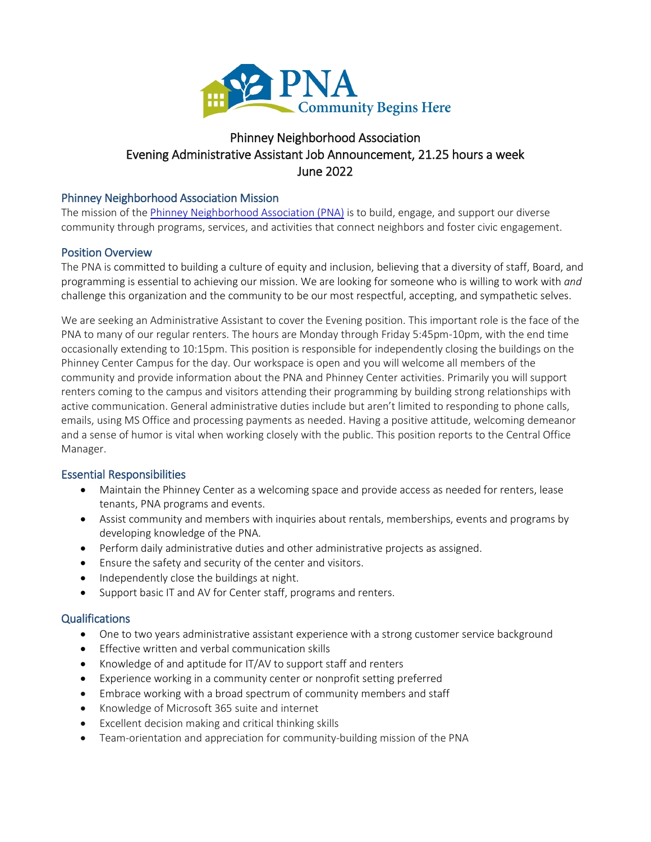

# Phinney Neighborhood Association Evening Administrative Assistant Job Announcement, 21.25 hours a week June 2022

#### Phinney Neighborhood Association Mission

The mission of th[e Phinney Neighborhood Association](http://www.phinneycenter.org/) (PNA) is to build, engage, and support our diverse community through programs, services, and activities that connect neighbors and foster civic engagement.

#### Position Overview

The PNA is committed to building a culture of equity and inclusion, believing that a diversity of staff, Board, and programming is essential to achieving our mission. We are looking for someone who is willing to work with *and* challenge this organization and the community to be our most respectful, accepting, and sympathetic selves.

We are seeking an Administrative Assistant to cover the Evening position. This important role is the face of the PNA to many of our regular renters. The hours are Monday through Friday 5:45pm-10pm, with the end time occasionally extending to 10:15pm. This position is responsible for independently closing the buildings on the Phinney Center Campus for the day. Our workspace is open and you will welcome all members of the community and provide information about the PNA and Phinney Center activities. Primarily you will support renters coming to the campus and visitors attending their programming by building strong relationships with active communication. General administrative duties include but aren't limited to responding to phone calls, emails, using MS Office and processing payments as needed. Having a positive attitude, welcoming demeanor and a sense of humor is vital when working closely with the public. This position reports to the Central Office Manager.

#### Essential Responsibilities

- Maintain the Phinney Center as a welcoming space and provide access as needed for renters, lease tenants, PNA programs and events.
- Assist community and members with inquiries about rentals, memberships, events and programs by developing knowledge of the PNA.
- Perform daily administrative duties and other administrative projects as assigned.
- Ensure the safety and security of the center and visitors.
- Independently close the buildings at night.
- Support basic IT and AV for Center staff, programs and renters.

#### **Qualifications**

- One to two years administrative assistant experience with a strong customer service background
- Effective written and verbal communication skills
- Knowledge of and aptitude for IT/AV to support staff and renters
- Experience working in a community center or nonprofit setting preferred
- Embrace working with a broad spectrum of community members and staff
- Knowledge of Microsoft 365 suite and internet
- Excellent decision making and critical thinking skills
- Team-orientation and appreciation for community-building mission of the PNA